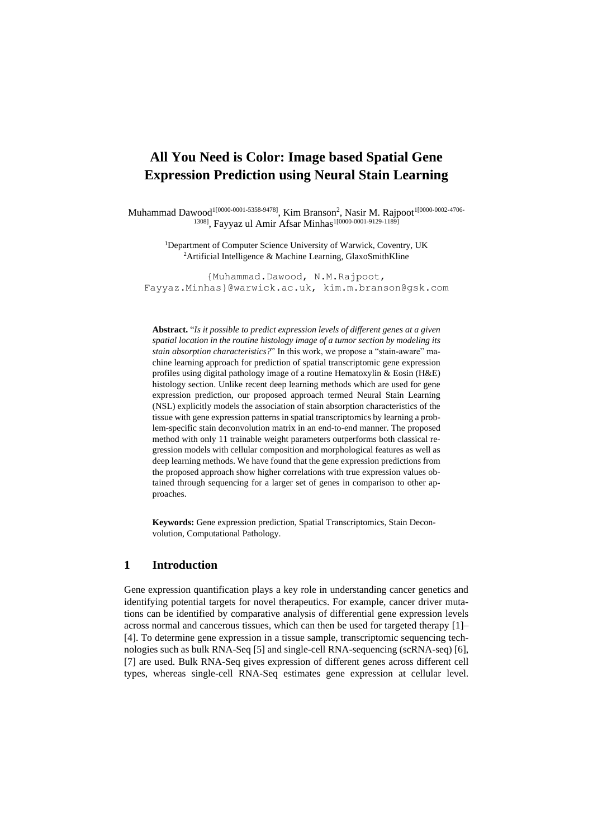# **All You Need is Color: Image based Spatial Gene Expression Prediction using Neural Stain Learning**

Muhammad Dawood<sup>1[0000-0001-5358-9478]</sup>, Kim Branson<sup>2</sup>, Nasir M. Rajpoot<sup>1[0000-0002-4706-</sup> 1308], Fayyaz ul Amir Afsar Minhas1[0000-0001-9129-1189]

> <sup>1</sup>Department of Computer Science University of Warwick, Coventry, UK <sup>2</sup>Artificial Intelligence & Machine Learning, GlaxoSmithKline

{Muhammad.Dawood, N.M.Rajpoot, Fayyaz.Minhas}@warwick.ac.uk, kim.m.branson@gsk.com

**Abstract.** "*Is it possible to predict expression levels of different genes at a given spatial location in the routine histology image of a tumor section by modeling its stain absorption characteristics?*" In this work, we propose a "stain-aware" machine learning approach for prediction of spatial transcriptomic gene expression profiles using digital pathology image of a routine Hematoxylin & Eosin (H&E) histology section. Unlike recent deep learning methods which are used for gene expression prediction, our proposed approach termed Neural Stain Learning (NSL) explicitly models the association of stain absorption characteristics of the tissue with gene expression patterns in spatial transcriptomics by learning a problem-specific stain deconvolution matrix in an end-to-end manner. The proposed method with only 11 trainable weight parameters outperforms both classical regression models with cellular composition and morphological features as well as deep learning methods. We have found that the gene expression predictions from the proposed approach show higher correlations with true expression values obtained through sequencing for a larger set of genes in comparison to other approaches.

**Keywords:** Gene expression prediction, Spatial Transcriptomics, Stain Deconvolution, Computational Pathology.

## **1 Introduction**

Gene expression quantification plays a key role in understanding cancer genetics and identifying potential targets for novel therapeutics. For example, cancer driver mutations can be identified by comparative analysis of differential gene expression levels across normal and cancerous tissues, which can then be used for targeted therapy [1]– [4]. To determine gene expression in a tissue sample, transcriptomic sequencing technologies such as bulk RNA-Seq [5] and single-cell RNA-sequencing (scRNA-seq) [6], [7] are used. Bulk RNA-Seq gives expression of different genes across different cell types, whereas single-cell RNA-Seq estimates gene expression at cellular level.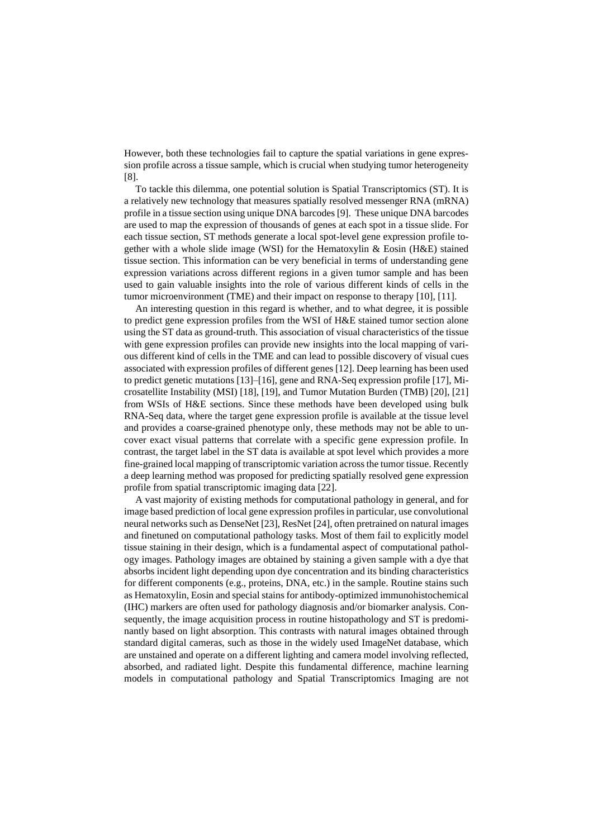However, both these technologies fail to capture the spatial variations in gene expression profile across a tissue sample, which is crucial when studying tumor heterogeneity [8].

To tackle this dilemma, one potential solution is Spatial Transcriptomics (ST). It is a relatively new technology that measures spatially resolved messenger RNA (mRNA) profile in a tissue section using unique DNA barcodes [9]. These unique DNA barcodes are used to map the expression of thousands of genes at each spot in a tissue slide. For each tissue section, ST methods generate a local spot-level gene expression profile together with a whole slide image (WSI) for the Hematoxylin & Eosin (H&E) stained tissue section. This information can be very beneficial in terms of understanding gene expression variations across different regions in a given tumor sample and has been used to gain valuable insights into the role of various different kinds of cells in the tumor microenvironment (TME) and their impact on response to therapy [10], [11].

An interesting question in this regard is whether, and to what degree, it is possible to predict gene expression profiles from the WSI of H&E stained tumor section alone using the ST data as ground-truth. This association of visual characteristics of the tissue with gene expression profiles can provide new insights into the local mapping of various different kind of cells in the TME and can lead to possible discovery of visual cues associated with expression profiles of different genes [12]. Deep learning has been used to predict genetic mutations [13]–[16], gene and RNA-Seq expression profile [17], Microsatellite Instability (MSI) [18], [19], and Tumor Mutation Burden (TMB) [20], [21] from WSIs of H&E sections. Since these methods have been developed using bulk RNA-Seq data, where the target gene expression profile is available at the tissue level and provides a coarse-grained phenotype only, these methods may not be able to uncover exact visual patterns that correlate with a specific gene expression profile. In contrast, the target label in the ST data is available at spot level which provides a more fine-grained local mapping of transcriptomic variation across the tumor tissue. Recently a deep learning method was proposed for predicting spatially resolved gene expression profile from spatial transcriptomic imaging data [22].

A vast majority of existing methods for computational pathology in general, and for image based prediction of local gene expression profiles in particular, use convolutional neural networks such as DenseNet [23], ResNet [24], often pretrained on natural images and finetuned on computational pathology tasks. Most of them fail to explicitly model tissue staining in their design, which is a fundamental aspect of computational pathology images. Pathology images are obtained by staining a given sample with a dye that absorbs incident light depending upon dye concentration and its binding characteristics for different components (e.g., proteins, DNA, etc.) in the sample. Routine stains such as Hematoxylin, Eosin and special stains for antibody-optimized immunohistochemical (IHC) markers are often used for pathology diagnosis and/or biomarker analysis. Consequently, the image acquisition process in routine histopathology and ST is predominantly based on light absorption. This contrasts with natural images obtained through standard digital cameras, such as those in the widely used ImageNet database, which are unstained and operate on a different lighting and camera model involving reflected, absorbed, and radiated light. Despite this fundamental difference, machine learning models in computational pathology and Spatial Transcriptomics Imaging are not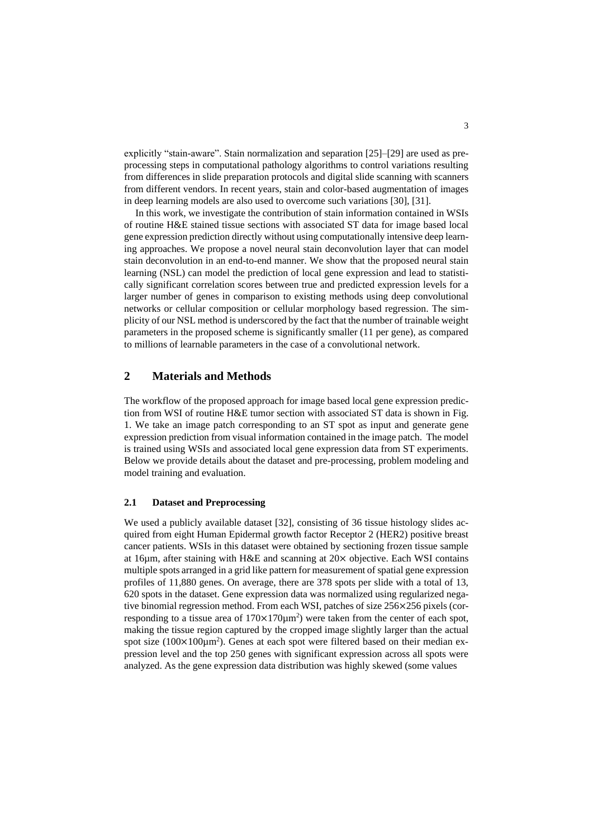explicitly "stain-aware". Stain normalization and separation [25]–[29] are used as preprocessing steps in computational pathology algorithms to control variations resulting from differences in slide preparation protocols and digital slide scanning with scanners from different vendors. In recent years, stain and color-based augmentation of images in deep learning models are also used to overcome such variations [30], [31].

In this work, we investigate the contribution of stain information contained in WSIs of routine H&E stained tissue sections with associated ST data for image based local gene expression prediction directly without using computationally intensive deep learning approaches. We propose a novel neural stain deconvolution layer that can model stain deconvolution in an end-to-end manner. We show that the proposed neural stain learning (NSL) can model the prediction of local gene expression and lead to statistically significant correlation scores between true and predicted expression levels for a larger number of genes in comparison to existing methods using deep convolutional networks or cellular composition or cellular morphology based regression. The simplicity of our NSL method is underscored by the fact that the number of trainable weight parameters in the proposed scheme is significantly smaller (11 per gene), as compared to millions of learnable parameters in the case of a convolutional network.

## **2 Materials and Methods**

The workflow of the proposed approach for image based local gene expression prediction from WSI of routine H&E tumor section with associated ST data is shown in Fig. 1. We take an image patch corresponding to an ST spot as input and generate gene expression prediction from visual information contained in the image patch. The model is trained using WSIs and associated local gene expression data from ST experiments. Below we provide details about the dataset and pre-processing, problem modeling and model training and evaluation.

### **2.1 Dataset and Preprocessing**

We used a publicly available dataset [32], consisting of 36 tissue histology slides acquired from eight Human Epidermal growth factor Receptor 2 (HER2) positive breast cancer patients. WSIs in this dataset were obtained by sectioning frozen tissue sample at 16µm, after staining with H&E and scanning at 20× objective. Each WSI contains multiple spots arranged in a grid like pattern for measurement of spatial gene expression profiles of 11,880 genes. On average, there are 378 spots per slide with a total of 13, 620 spots in the dataset. Gene expression data was normalized using regularized negative binomial regression method. From each WSI, patches of size 256×256 pixels (corresponding to a tissue area of  $170 \times 170 \mu m^2$ ) were taken from the center of each spot, making the tissue region captured by the cropped image slightly larger than the actual spot size (100×100µm<sup>2</sup>). Genes at each spot were filtered based on their median expression level and the top 250 genes with significant expression across all spots were analyzed. As the gene expression data distribution was highly skewed (some values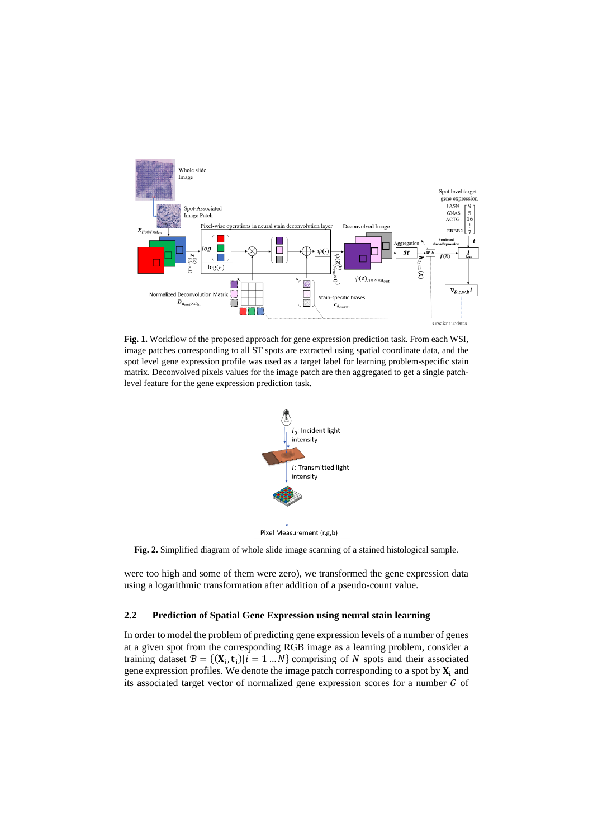

**Fig. 1.** Workflow of the proposed approach for gene expression prediction task. From each WSI, image patches corresponding to all ST spots are extracted using spatial coordinate data, and the spot level gene expression profile was used as a target label for learning problem-specific stain matrix. Deconvolved pixels values for the image patch are then aggregated to get a single patchlevel feature for the gene expression prediction task.



**Fig. 2.** Simplified diagram of whole slide image scanning of a stained histological sample.

were too high and some of them were zero), we transformed the gene expression data using a logarithmic transformation after addition of a pseudo-count value.

## **2.2 Prediction of Spatial Gene Expression using neural stain learning**

In order to model the problem of predicting gene expression levels of a number of genes at a given spot from the corresponding RGB image as a learning problem, consider a training dataset  $\mathcal{B} = \{(\mathbf{X}_i, \mathbf{t}_i) | i = 1 \dots N\}$  comprising of N spots and their associated gene expression profiles. We denote the image patch corresponding to a spot by  $X_i$  and its associated target vector of normalized gene expression scores for a number  $G$  of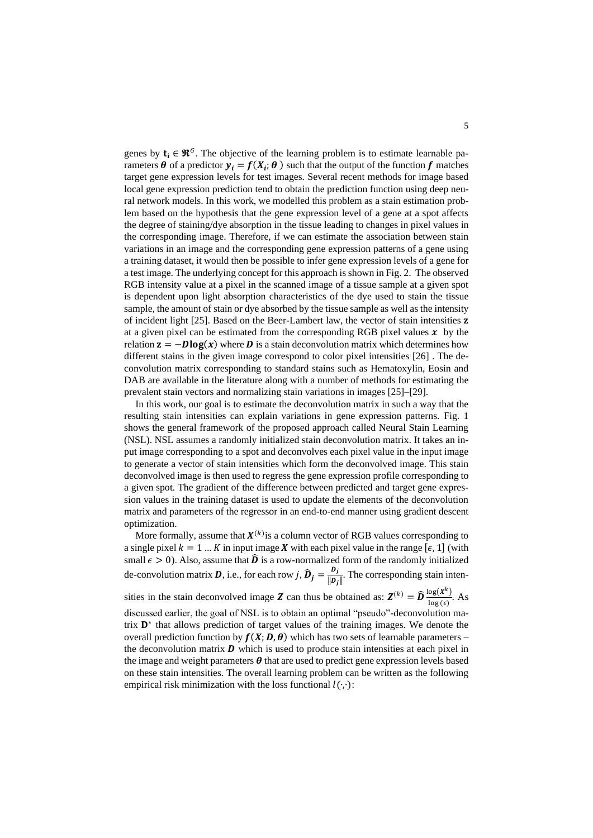genes by  $t_i \in \mathbb{R}^G$ . The objective of the learning problem is to estimate learnable parameters  $\theta$  of a predictor  $y_i = f(X_i; \theta)$  such that the output of the function  $f$  matches target gene expression levels for test images. Several recent methods for image based local gene expression prediction tend to obtain the prediction function using deep neural network models. In this work, we modelled this problem as a stain estimation problem based on the hypothesis that the gene expression level of a gene at a spot affects the degree of staining/dye absorption in the tissue leading to changes in pixel values in the corresponding image. Therefore, if we can estimate the association between stain variations in an image and the corresponding gene expression patterns of a gene using a training dataset, it would then be possible to infer gene expression levels of a gene for a test image. The underlying concept for this approach is shown in Fig. 2. The observed RGB intensity value at a pixel in the scanned image of a tissue sample at a given spot is dependent upon light absorption characteristics of the dye used to stain the tissue sample, the amount of stain or dye absorbed by the tissue sample as well as the intensity of incident light [25]. Based on the Beer-Lambert law, the vector of stain intensities at a given pixel can be estimated from the corresponding RGB pixel values  $x$  by the relation  $z = -D\log(x)$  where D is a stain deconvolution matrix which determines how different stains in the given image correspond to color pixel intensities [26] . The deconvolution matrix corresponding to standard stains such as Hematoxylin, Eosin and DAB are available in the literature along with a number of methods for estimating the prevalent stain vectors and normalizing stain variations in images [25]–[29].

In this work, our goal is to estimate the deconvolution matrix in such a way that the resulting stain intensities can explain variations in gene expression patterns. Fig. 1 shows the general framework of the proposed approach called Neural Stain Learning (NSL). NSL assumes a randomly initialized stain deconvolution matrix. It takes an input image corresponding to a spot and deconvolves each pixel value in the input image to generate a vector of stain intensities which form the deconvolved image. This stain deconvolved image is then used to regress the gene expression profile corresponding to a given spot. The gradient of the difference between predicted and target gene expression values in the training dataset is used to update the elements of the deconvolution matrix and parameters of the regressor in an end-to-end manner using gradient descent optimization.

More formally, assume that  $X^{(k)}$  is a column vector of RGB values corresponding to a single pixel  $k = 1...K$  in input image X with each pixel value in the range [ $\epsilon$ , 1] (with small  $\epsilon > 0$ ). Also, assume that  $\hat{\mathbf{D}}$  is a row-normalized form of the randomly initialized de-convolution matrix **D**, i.e., for each row  $j$ ,  $\hat{\mathbf{D}}_j = \frac{\mathbf{D}_j}{\|\mathbf{D}_j\|}$  $\frac{D_f}{\|D_f\|}$ . The corresponding stain inten-

sities in the stain deconvolved image Z can thus be obtained as:  $\mathbf{Z}^{(k)} = \widehat{\mathbf{D}} \frac{\log(\mathbf{X}^k)}{\log(\mathbf{X}^k)}$  $\frac{\log(A)}{\log(\epsilon)}$ . As discussed earlier, the goal of NSL is to obtain an optimal "pseudo"-deconvolution matrix  $D^*$  that allows prediction of target values of the training images. We denote the overall prediction function by  $f(X; D, \theta)$  which has two sets of learnable parameters – the deconvolution matrix  $\bm{D}$  which is used to produce stain intensities at each pixel in the image and weight parameters  $\theta$  that are used to predict gene expression levels based on these stain intensities. The overall learning problem can be written as the following empirical risk minimization with the loss functional  $l(\cdot, \cdot)$ :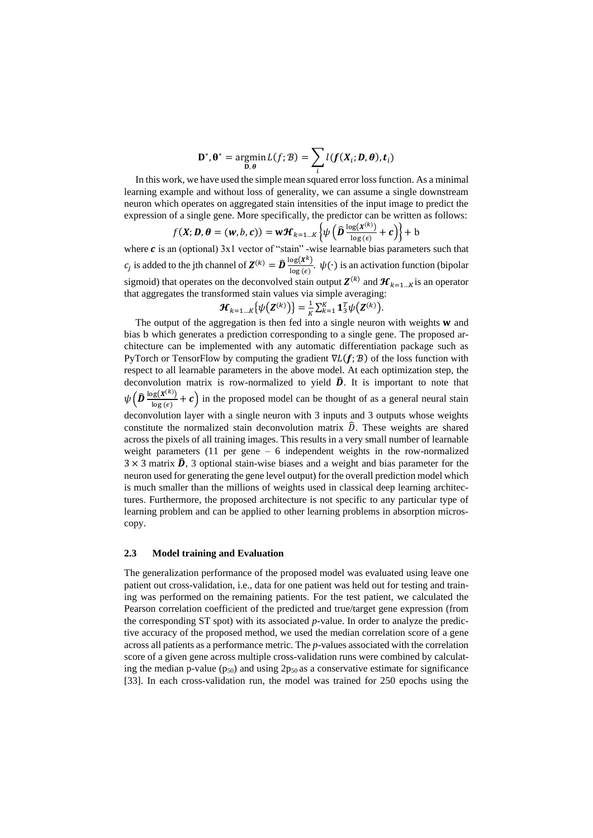$$
\mathbf{D}^*, \mathbf{\theta}^* = \operatorname*{argmin}_{\mathbf{D}, \mathbf{\theta}} L(f; \mathcal{B}) = \sum_i l(f(X_i; \mathbf{D}, \mathbf{\theta}), \mathbf{t}_i)
$$

In this work, we have used the simple mean squared error loss function. As a minimal learning example and without loss of generality, we can assume a single downstream neuron which operates on aggregated stain intensities of the input image to predict the expression of a single gene. More specifically, the predictor can be written as follows:

$$
f(\mathbf{X}; \mathbf{D}, \boldsymbol{\theta} = (\mathbf{w}, b, \mathbf{c})) = \mathbf{w}\mathbf{\mathcal{H}}_{k=1\ldots K} \left\{ \psi \left( \widehat{\mathbf{D}} \frac{\log(\mathbf{X}^{(k)})}{\log(\epsilon)} + \mathbf{c} \right) \right\} + \mathbf{b}
$$

where  $\boldsymbol{c}$  is an (optional) 3x1 vector of "stain" -wise learnable bias parameters such that  $c_j$  is added to the jth channel of  $\mathbf{Z}^{(k)} = \widehat{\mathbf{D}} \frac{\log(x^k)}{\log(c)}$  $\frac{\log(A)}{\log(\epsilon)}$ .  $\psi(\cdot)$  is an activation function (bipolar sigmoid) that operates on the deconvolved stain output  $\mathbf{Z}^{(k)}$  and  $\mathbf{\mathcal{H}}_{k=1...K}$  is an operator that aggregates the transformed stain values via simple averaging:

$$
\boldsymbol{\mathcal{H}}_{k=1\ldots K}\{\psi\big(\boldsymbol{Z}^{(k)}\big)\}=\frac{1}{K}\sum_{k=1}^{K}\mathbf{1}_3^T\psi\big(\boldsymbol{Z}^{(k)}\big).
$$

The output of the aggregation is then fed into a single neuron with weights  $w$  and bias b which generates a prediction corresponding to a single gene. The proposed architecture can be implemented with any automatic differentiation package such as PyTorch or TensorFlow by computing the gradient  $\nabla L(f; B)$  of the loss function with respect to all learnable parameters in the above model. At each optimization step, the deconvolution matrix is row-normalized to yield  $\hat{\mathbf{D}}$ . It is important to note that  $\psi\big(\widehat{\bm D}\frac{\log(X^{(k)})}{\log(x)}$  $\frac{\log(A \cap f)}{\log(e)} + c$  in the proposed model can be thought of as a general neural stain deconvolution layer with a single neuron with 3 inputs and 3 outputs whose weights constitute the normalized stain deconvolution matrix  $\hat{D}$ . These weights are shared across the pixels of all training images. This results in a very small number of learnable weight parameters (11 per gene – 6 independent weights in the row-normalized  $3 \times 3$  matrix  $\hat{\mathbf{D}}$ , 3 optional stain-wise biases and a weight and bias parameter for the neuron used for generating the gene level output) for the overall prediction model which is much smaller than the millions of weights used in classical deep learning architectures. Furthermore, the proposed architecture is not specific to any particular type of learning problem and can be applied to other learning problems in absorption microscopy.

### **2.3 Model training and Evaluation**

The generalization performance of the proposed model was evaluated using leave one patient out cross-validation, i.e., data for one patient was held out for testing and training was performed on the remaining patients. For the test patient, we calculated the Pearson correlation coefficient of the predicted and true/target gene expression (from the corresponding ST spot) with its associated *p*-value. In order to analyze the predictive accuracy of the proposed method, we used the median correlation score of a gene across all patients as a performance metric. The *p*-values associated with the correlation score of a given gene across multiple cross-validation runs were combined by calculating the median p-value ( $p_{50}$ ) and using  $2p_{50}$  as a conservative estimate for significance [33]. In each cross-validation run, the model was trained for 250 epochs using the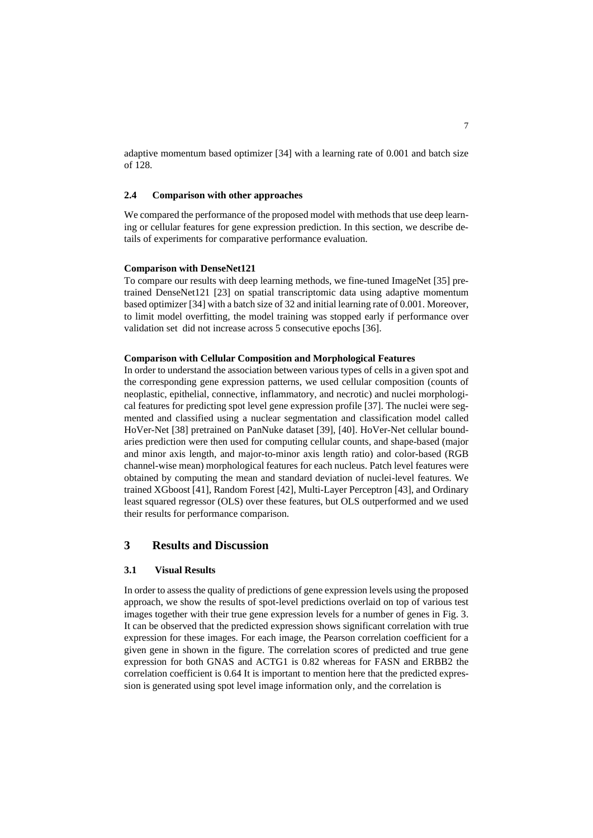adaptive momentum based optimizer [34] with a learning rate of 0.001 and batch size of 128.

## **2.4 Comparison with other approaches**

We compared the performance of the proposed model with methods that use deep learning or cellular features for gene expression prediction. In this section, we describe details of experiments for comparative performance evaluation.

### **Comparison with DenseNet121**

To compare our results with deep learning methods, we fine-tuned ImageNet [35] pretrained DenseNet121 [23] on spatial transcriptomic data using adaptive momentum based optimizer [34] with a batch size of 32 and initial learning rate of 0.001. Moreover, to limit model overfitting, the model training was stopped early if performance over validation set did not increase across 5 consecutive epochs [36].

#### **Comparison with Cellular Composition and Morphological Features**

In order to understand the association between various types of cells in a given spot and the corresponding gene expression patterns, we used cellular composition (counts of neoplastic, epithelial, connective, inflammatory, and necrotic) and nuclei morphological features for predicting spot level gene expression profile [37]. The nuclei were segmented and classified using a nuclear segmentation and classification model called HoVer-Net [38] pretrained on PanNuke dataset [39], [40]. HoVer-Net cellular boundaries prediction were then used for computing cellular counts, and shape-based (major and minor axis length, and major-to-minor axis length ratio) and color-based (RGB channel-wise mean) morphological features for each nucleus. Patch level features were obtained by computing the mean and standard deviation of nuclei-level features. We trained XGboost [41], Random Forest [42], Multi-Layer Perceptron [43], and Ordinary least squared regressor (OLS) over these features, but OLS outperformed and we used their results for performance comparison.

## **3 Results and Discussion**

## **3.1 Visual Results**

In order to assess the quality of predictions of gene expression levels using the proposed approach, we show the results of spot-level predictions overlaid on top of various test images together with their true gene expression levels for a number of genes in Fig. 3. It can be observed that the predicted expression shows significant correlation with true expression for these images. For each image, the Pearson correlation coefficient for a given gene in shown in the figure. The correlation scores of predicted and true gene expression for both GNAS and ACTG1 is 0.82 whereas for FASN and ERBB2 the correlation coefficient is 0.64 It is important to mention here that the predicted expression is generated using spot level image information only, and the correlation is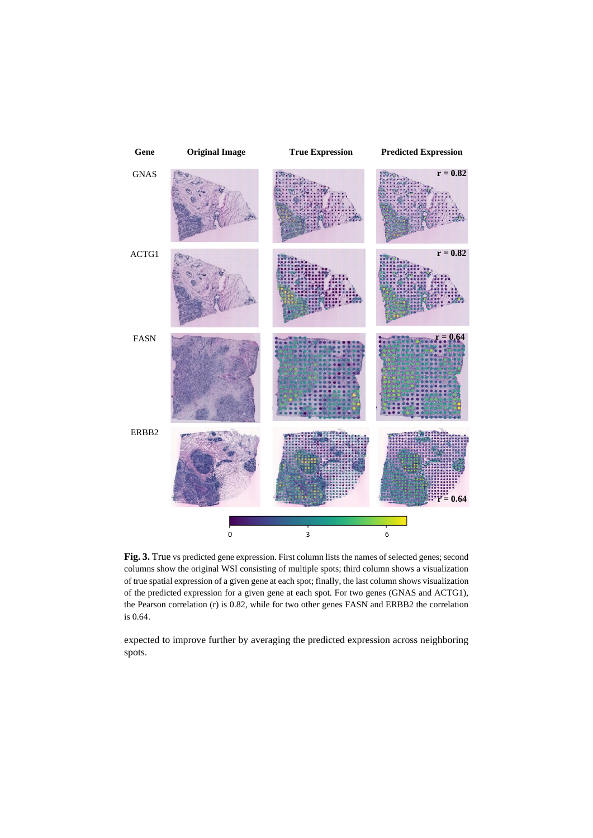

**Fig. 3.** True vs predicted gene expression. First column lists the names of selected genes; second columns show the original WSI consisting of multiple spots; third column shows a visualization of true spatial expression of a given gene at each spot; finally, the last column shows visualization of the predicted expression for a given gene at each spot. For two genes (GNAS and ACTG1), the Pearson correlation (r) is 0.82, while for two other genes FASN and ERBB2 the correlation is 0.64.

expected to improve further by averaging the predicted expression across neighboring spots.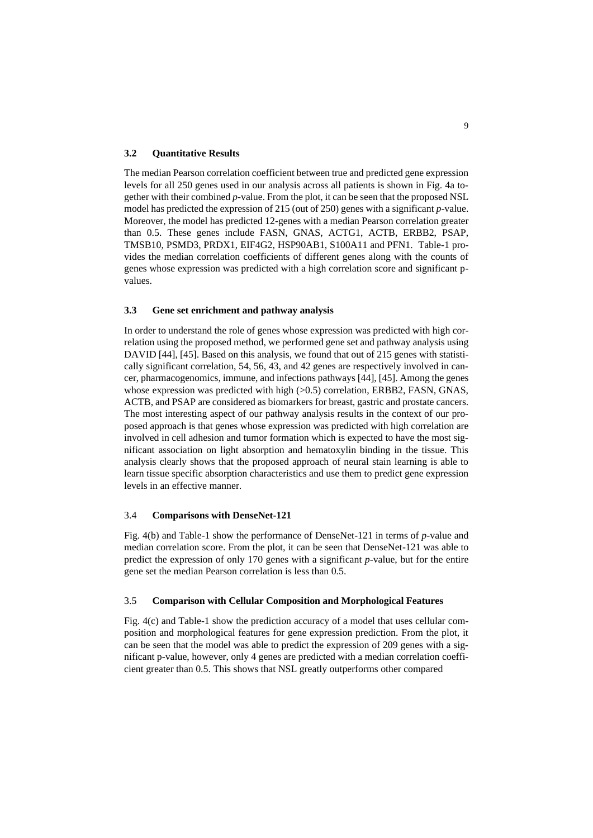#### **3.2 Quantitative Results**

The median Pearson correlation coefficient between true and predicted gene expression levels for all 250 genes used in our analysis across all patients is shown in Fig. 4a together with their combined *p*-value. From the plot, it can be seen that the proposed NSL model has predicted the expression of 215 (out of 250) genes with a significant *p*-value. Moreover, the model has predicted 12-genes with a median Pearson correlation greater than 0.5. These genes include FASN, GNAS, ACTG1, ACTB, ERBB2, PSAP, TMSB10, PSMD3, PRDX1, EIF4G2, HSP90AB1, S100A11 and PFN1. Table-1 provides the median correlation coefficients of different genes along with the counts of genes whose expression was predicted with a high correlation score and significant pvalues.

## **3.3 Gene set enrichment and pathway analysis**

In order to understand the role of genes whose expression was predicted with high correlation using the proposed method, we performed gene set and pathway analysis using DAVID [44], [45]. Based on this analysis, we found that out of 215 genes with statistically significant correlation, 54, 56, 43, and 42 genes are respectively involved in cancer, pharmacogenomics, immune, and infections pathways [44], [45]. Among the genes whose expression was predicted with high ( $>0.5$ ) correlation, ERBB2, FASN, GNAS, ACTB, and PSAP are considered as biomarkers for breast, gastric and prostate cancers. The most interesting aspect of our pathway analysis results in the context of our proposed approach is that genes whose expression was predicted with high correlation are involved in cell adhesion and tumor formation which is expected to have the most significant association on light absorption and hematoxylin binding in the tissue. This analysis clearly shows that the proposed approach of neural stain learning is able to learn tissue specific absorption characteristics and use them to predict gene expression levels in an effective manner.

#### 3.4 **Comparisons with DenseNet-121**

Fig. 4(b) and Table-1 show the performance of DenseNet-121 in terms of *p*-value and median correlation score. From the plot, it can be seen that DenseNet-121 was able to predict the expression of only 170 genes with a significant *p*-value, but for the entire gene set the median Pearson correlation is less than 0.5.

#### 3.5 **Comparison with Cellular Composition and Morphological Features**

Fig. 4(c) and Table-1 show the prediction accuracy of a model that uses cellular composition and morphological features for gene expression prediction. From the plot, it can be seen that the model was able to predict the expression of 209 genes with a significant p-value, however, only 4 genes are predicted with a median correlation coefficient greater than 0.5. This shows that NSL greatly outperforms other compared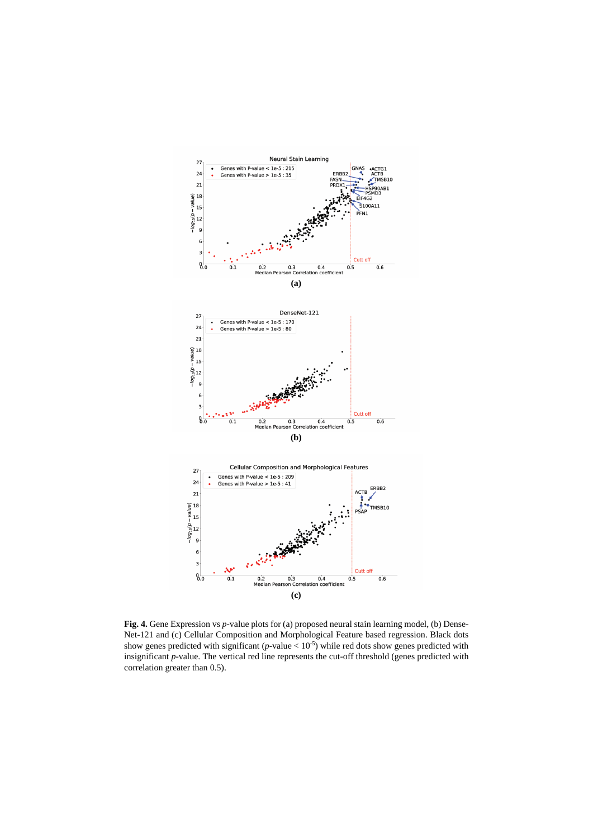

**Fig. 4.** Gene Expression vs *p*-value plots for (a) proposed neural stain learning model, (b) Dense-Net-121 and (c) Cellular Composition and Morphological Feature based regression. Black dots show genes predicted with significant  $(p$ -value  $< 10^{-5}$ ) while red dots show genes predicted with insignificant *p*-value. The vertical red line represents the cut-off threshold (genes predicted with correlation greater than 0.5).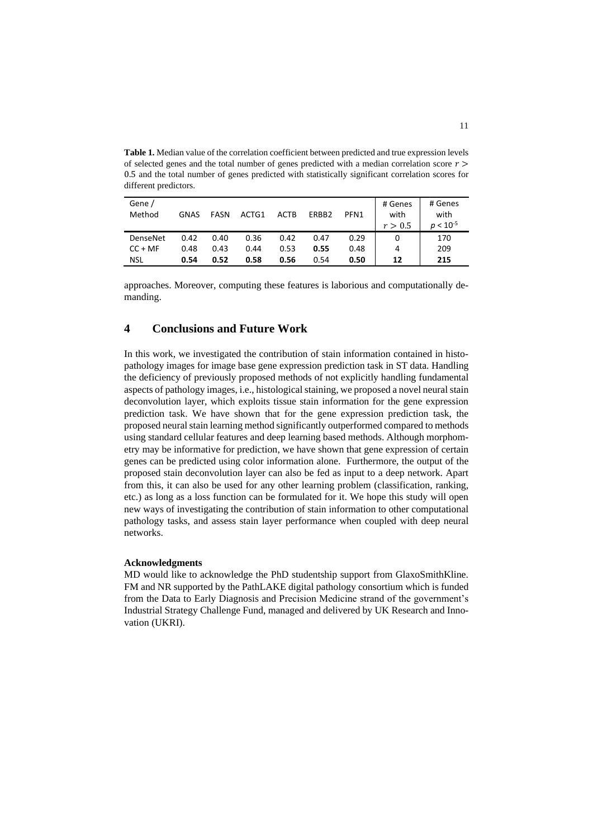**Table 1.** Median value of the correlation coefficient between predicted and true expression levels of selected genes and the total number of genes predicted with a median correlation score  $r >$ 0.5 and the total number of genes predicted with statistically significant correlation scores for different predictors.

| Gene /<br>Method | GNAS | <b>FASN</b> | ACTG1 | ACTB | ERBB <sub>2</sub> | PFN1 | # Genes<br>with<br>r > 0.5 | # Genes<br>with<br>$p < 10^{-5}$ |
|------------------|------|-------------|-------|------|-------------------|------|----------------------------|----------------------------------|
| DenseNet         | 0.42 | 0.40        | 0.36  | 0.42 | 0.47              | 0.29 | 0                          | 170                              |
| $CC + MF$        | 0.48 | 0.43        | 0.44  | 0.53 | 0.55              | 0.48 | 4                          | 209                              |
| NSL              | 0.54 | 0.52        | 0.58  | 0.56 | 0.54              | 0.50 | 12                         | 215                              |

approaches. Moreover, computing these features is laborious and computationally demanding.

## **4 Conclusions and Future Work**

In this work, we investigated the contribution of stain information contained in histopathology images for image base gene expression prediction task in ST data. Handling the deficiency of previously proposed methods of not explicitly handling fundamental aspects of pathology images, i.e., histological staining, we proposed a novel neural stain deconvolution layer, which exploits tissue stain information for the gene expression prediction task. We have shown that for the gene expression prediction task, the proposed neural stain learning method significantly outperformed compared to methods using standard cellular features and deep learning based methods. Although morphometry may be informative for prediction, we have shown that gene expression of certain genes can be predicted using color information alone. Furthermore, the output of the proposed stain deconvolution layer can also be fed as input to a deep network. Apart from this, it can also be used for any other learning problem (classification, ranking, etc.) as long as a loss function can be formulated for it. We hope this study will open new ways of investigating the contribution of stain information to other computational pathology tasks, and assess stain layer performance when coupled with deep neural networks.

#### **Acknowledgments**

MD would like to acknowledge the PhD studentship support from GlaxoSmithKline. FM and NR supported by the PathLAKE digital pathology consortium which is funded from the Data to Early Diagnosis and Precision Medicine strand of the government's Industrial Strategy Challenge Fund, managed and delivered by UK Research and Innovation (UKRI).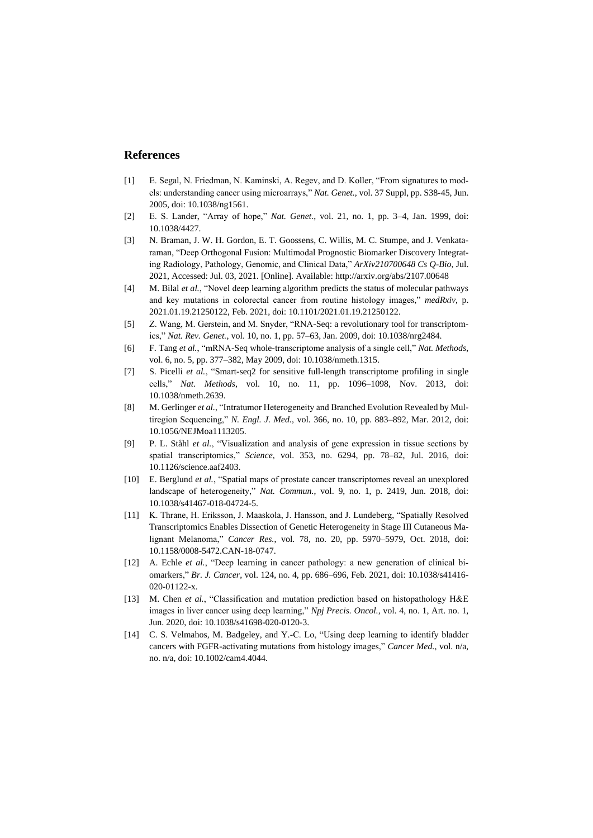## **References**

- [1] E. Segal, N. Friedman, N. Kaminski, A. Regev, and D. Koller, "From signatures to models: understanding cancer using microarrays," *Nat. Genet.*, vol. 37 Suppl, pp. S38-45, Jun. 2005, doi: 10.1038/ng1561.
- [2] E. S. Lander, "Array of hope," *Nat. Genet.*, vol. 21, no. 1, pp. 3–4, Jan. 1999, doi: 10.1038/4427.
- [3] N. Braman, J. W. H. Gordon, E. T. Goossens, C. Willis, M. C. Stumpe, and J. Venkataraman, "Deep Orthogonal Fusion: Multimodal Prognostic Biomarker Discovery Integrating Radiology, Pathology, Genomic, and Clinical Data," *ArXiv210700648 Cs Q-Bio*, Jul. 2021, Accessed: Jul. 03, 2021. [Online]. Available: http://arxiv.org/abs/2107.00648
- [4] M. Bilal *et al.*, "Novel deep learning algorithm predicts the status of molecular pathways and key mutations in colorectal cancer from routine histology images," *medRxiv*, p. 2021.01.19.21250122, Feb. 2021, doi: 10.1101/2021.01.19.21250122.
- [5] Z. Wang, M. Gerstein, and M. Snyder, "RNA-Seq: a revolutionary tool for transcriptomics," *Nat. Rev. Genet.*, vol. 10, no. 1, pp. 57–63, Jan. 2009, doi: 10.1038/nrg2484.
- [6] F. Tang *et al.*, "mRNA-Seq whole-transcriptome analysis of a single cell," *Nat. Methods*, vol. 6, no. 5, pp. 377–382, May 2009, doi: 10.1038/nmeth.1315.
- [7] S. Picelli *et al.*, "Smart-seq2 for sensitive full-length transcriptome profiling in single cells," *Nat. Methods*, vol. 10, no. 11, pp. 1096–1098, Nov. 2013, doi: 10.1038/nmeth.2639.
- [8] M. Gerlinger *et al.*, "Intratumor Heterogeneity and Branched Evolution Revealed by Multiregion Sequencing," *N. Engl. J. Med.*, vol. 366, no. 10, pp. 883–892, Mar. 2012, doi: 10.1056/NEJMoa1113205.
- [9] P. L. Ståhl *et al.*, "Visualization and analysis of gene expression in tissue sections by spatial transcriptomics," *Science*, vol. 353, no. 6294, pp. 78–82, Jul. 2016, doi: 10.1126/science.aaf2403.
- [10] E. Berglund *et al.*, "Spatial maps of prostate cancer transcriptomes reveal an unexplored landscape of heterogeneity," *Nat. Commun.*, vol. 9, no. 1, p. 2419, Jun. 2018, doi: 10.1038/s41467-018-04724-5.
- [11] K. Thrane, H. Eriksson, J. Maaskola, J. Hansson, and J. Lundeberg, "Spatially Resolved Transcriptomics Enables Dissection of Genetic Heterogeneity in Stage III Cutaneous Malignant Melanoma," *Cancer Res.*, vol. 78, no. 20, pp. 5970–5979, Oct. 2018, doi: 10.1158/0008-5472.CAN-18-0747.
- [12] A. Echle *et al.*, "Deep learning in cancer pathology: a new generation of clinical biomarkers," *Br. J. Cancer*, vol. 124, no. 4, pp. 686–696, Feb. 2021, doi: 10.1038/s41416- 020-01122-x.
- [13] M. Chen *et al.*, "Classification and mutation prediction based on histopathology H&E images in liver cancer using deep learning," *Npj Precis. Oncol.*, vol. 4, no. 1, Art. no. 1, Jun. 2020, doi: 10.1038/s41698-020-0120-3.
- [14] C. S. Velmahos, M. Badgeley, and Y.-C. Lo, "Using deep learning to identify bladder cancers with FGFR-activating mutations from histology images," *Cancer Med.*, vol. n/a, no. n/a, doi: 10.1002/cam4.4044.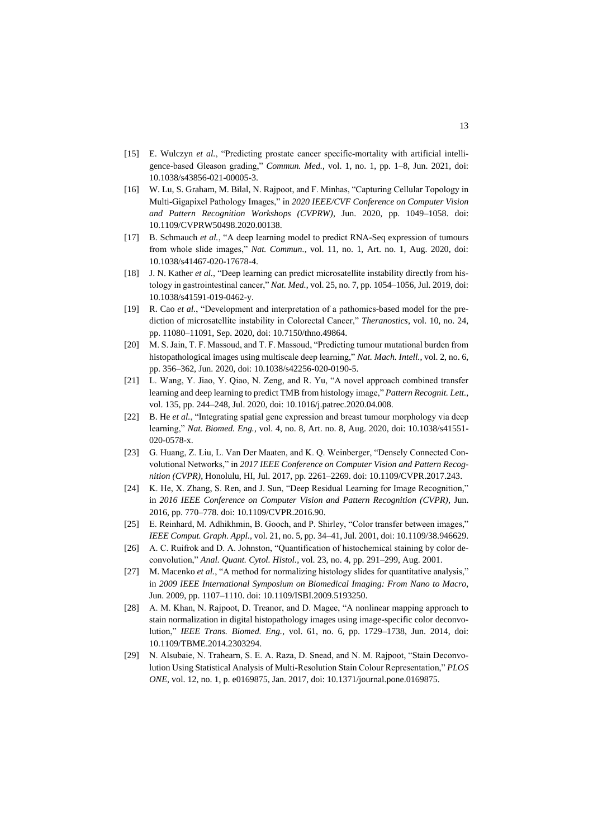- [15] E. Wulczyn *et al.*, "Predicting prostate cancer specific-mortality with artificial intelligence-based Gleason grading," *Commun. Med.*, vol. 1, no. 1, pp. 1–8, Jun. 2021, doi: 10.1038/s43856-021-00005-3.
- [16] W. Lu, S. Graham, M. Bilal, N. Rajpoot, and F. Minhas, "Capturing Cellular Topology in Multi-Gigapixel Pathology Images," in *2020 IEEE/CVF Conference on Computer Vision and Pattern Recognition Workshops (CVPRW)*, Jun. 2020, pp. 1049–1058. doi: 10.1109/CVPRW50498.2020.00138.
- [17] B. Schmauch *et al.*, "A deep learning model to predict RNA-Seq expression of tumours from whole slide images," *Nat. Commun.*, vol. 11, no. 1, Art. no. 1, Aug. 2020, doi: 10.1038/s41467-020-17678-4.
- [18] J. N. Kather *et al.*, "Deep learning can predict microsatellite instability directly from histology in gastrointestinal cancer," *Nat. Med.*, vol. 25, no. 7, pp. 1054–1056, Jul. 2019, doi: 10.1038/s41591-019-0462-y.
- [19] R. Cao *et al.*, "Development and interpretation of a pathomics-based model for the prediction of microsatellite instability in Colorectal Cancer," *Theranostics*, vol. 10, no. 24, pp. 11080–11091, Sep. 2020, doi: 10.7150/thno.49864.
- [20] M. S. Jain, T. F. Massoud, and T. F. Massoud, "Predicting tumour mutational burden from histopathological images using multiscale deep learning," *Nat. Mach. Intell.*, vol. 2, no. 6, pp. 356–362, Jun. 2020, doi: 10.1038/s42256-020-0190-5.
- [21] L. Wang, Y. Jiao, Y. Qiao, N. Zeng, and R. Yu, "A novel approach combined transfer learning and deep learning to predict TMB from histology image," *Pattern Recognit. Lett.*, vol. 135, pp. 244–248, Jul. 2020, doi: 10.1016/j.patrec.2020.04.008.
- [22] B. He *et al.*, "Integrating spatial gene expression and breast tumour morphology via deep learning," *Nat. Biomed. Eng.*, vol. 4, no. 8, Art. no. 8, Aug. 2020, doi: 10.1038/s41551- 020-0578-x.
- [23] G. Huang, Z. Liu, L. Van Der Maaten, and K. Q. Weinberger, "Densely Connected Convolutional Networks," in *2017 IEEE Conference on Computer Vision and Pattern Recognition (CVPR)*, Honolulu, HI, Jul. 2017, pp. 2261–2269. doi: 10.1109/CVPR.2017.243.
- [24] K. He, X. Zhang, S. Ren, and J. Sun, "Deep Residual Learning for Image Recognition," in *2016 IEEE Conference on Computer Vision and Pattern Recognition (CVPR)*, Jun. 2016, pp. 770–778. doi: 10.1109/CVPR.2016.90.
- [25] E. Reinhard, M. Adhikhmin, B. Gooch, and P. Shirley, "Color transfer between images," *IEEE Comput. Graph. Appl.*, vol. 21, no. 5, pp. 34–41, Jul. 2001, doi: 10.1109/38.946629.
- [26] A. C. Ruifrok and D. A. Johnston, "Quantification of histochemical staining by color deconvolution," *Anal. Quant. Cytol. Histol.*, vol. 23, no. 4, pp. 291–299, Aug. 2001.
- [27] M. Macenko *et al.*, "A method for normalizing histology slides for quantitative analysis," in *2009 IEEE International Symposium on Biomedical Imaging: From Nano to Macro*, Jun. 2009, pp. 1107–1110. doi: 10.1109/ISBI.2009.5193250.
- [28] A. M. Khan, N. Rajpoot, D. Treanor, and D. Magee, "A nonlinear mapping approach to stain normalization in digital histopathology images using image-specific color deconvolution," *IEEE Trans. Biomed. Eng.*, vol. 61, no. 6, pp. 1729–1738, Jun. 2014, doi: 10.1109/TBME.2014.2303294.
- [29] N. Alsubaie, N. Trahearn, S. E. A. Raza, D. Snead, and N. M. Rajpoot, "Stain Deconvolution Using Statistical Analysis of Multi-Resolution Stain Colour Representation," *PLOS ONE*, vol. 12, no. 1, p. e0169875, Jan. 2017, doi: 10.1371/journal.pone.0169875.